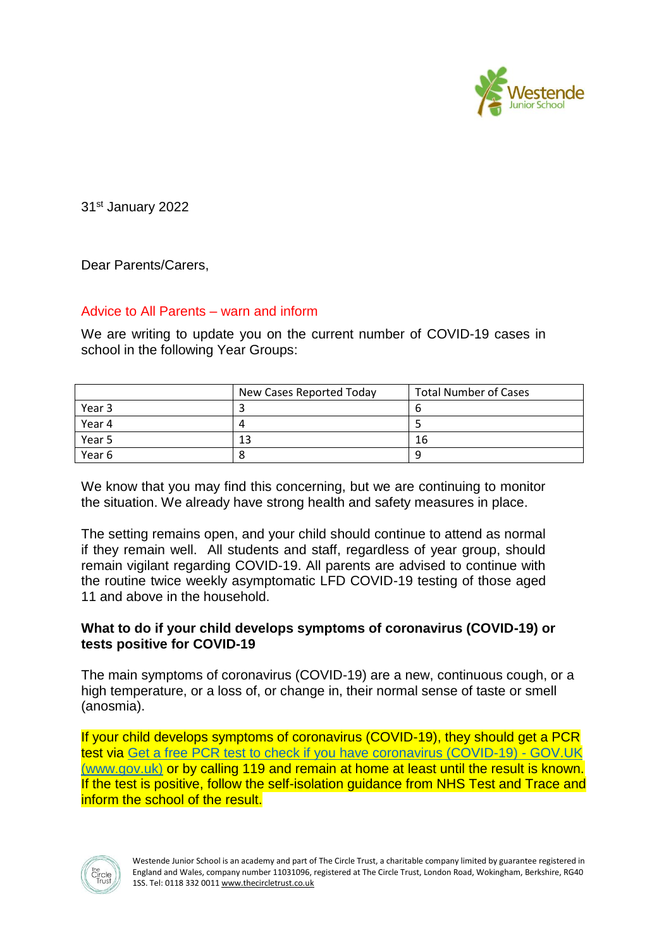

31st January 2022

Dear Parents/Carers,

## Advice to All Parents – warn and inform

We are writing to update you on the current number of COVID-19 cases in school in the following Year Groups:

|        | New Cases Reported Today | <b>Total Number of Cases</b> |
|--------|--------------------------|------------------------------|
| Year 3 |                          | O                            |
| Year 4 | Д                        |                              |
| Year 5 | 13                       | 16                           |
| Year 6 |                          | u                            |

We know that you may find this concerning, but we are continuing to monitor the situation. We already have strong health and safety measures in place.

The setting remains open, and your child should continue to attend as normal if they remain well. All students and staff, regardless of year group, should remain vigilant regarding COVID-19. All parents are advised to continue with the routine twice weekly asymptomatic LFD COVID-19 testing of those aged 11 and above in the household.

## **What to do if your child develops symptoms of coronavirus (COVID-19) or tests positive for COVID-19**

The main symptoms of coronavirus (COVID-19) are a new, continuous cough, or a high temperature, or a loss of, or change in, their normal sense of taste or smell (anosmia).

If your child develops symptoms of coronavirus (COVID-19), they should get a PCR test via [Get a free PCR test to check if you have coronavirus \(COVID-19\) -](https://www.gov.uk/get-coronavirus-test) GOV.UK [\(www.gov.uk\)](https://www.gov.uk/get-coronavirus-test) or by calling 119 and remain at home at least until the result is known. If the test is positive, follow the self-isolation quidance from NHS Test and Trace and inform the school of the result.